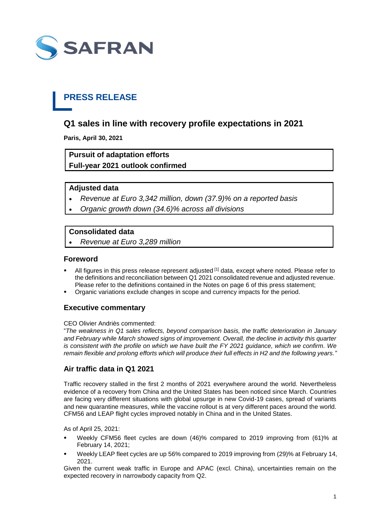

## **PRESS RELEASE**

## **Q1 sales in line with recovery profile expectations in 2021**

**Paris, April 30, 2021**

## **Pursuit of adaptation efforts Full-year 2021 outlook confirmed**

#### **Adjusted data**

- *Revenue at Euro 3,342 million, down (37.9)% on a reported basis*
- *Organic growth down (34.6)% across all divisions*

#### **Consolidated data**

*Revenue at Euro 3,289 million*

#### **Foreword**

- All figures in this press release represent adjusted <sup>[1]</sup> data, except where noted. Please refer to the definitions and reconciliation between Q1 2021 consolidated revenue and adjusted revenue. Please refer to the definitions contained in the Notes on page 6 of this press statement;
- Organic variations exclude changes in scope and currency impacts for the period.

#### **Executive commentary**

#### CEO Olivier Andriès commented:

"*The weakness in Q1 sales reflects, beyond comparison basis, the traffic deterioration in January and February while March showed signs of improvement. Overall, the decline in activity this quarter is consistent with the profile on which we have built the FY 2021 guidance, which we confirm. We remain flexible and prolong efforts which will produce their full effects in H2 and the following years."*

#### **Air traffic data in Q1 2021**

Traffic recovery stalled in the first 2 months of 2021 everywhere around the world. Nevertheless evidence of a recovery from China and the United States has been noticed since March. Countries are facing very different situations with global upsurge in new Covid-19 cases, spread of variants and new quarantine measures, while the vaccine rollout is at very different paces around the world. CFM56 and LEAP flight cycles improved notably in China and in the United States.

As of April 25, 2021:

- Weekly CFM56 fleet cycles are down (46)% compared to 2019 improving from (61)% at February 14, 2021;
- Weekly LEAP fleet cycles are up 56% compared to 2019 improving from (29)% at February 14, 2021.

Given the current weak traffic in Europe and APAC (excl. China), uncertainties remain on the expected recovery in narrowbody capacity from Q2.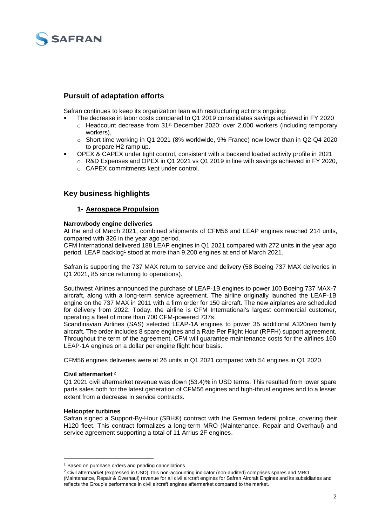

### **Pursuit of adaptation efforts**

Safran continues to keep its organization lean with restructuring actions ongoing:

- The decrease in labor costs compared to Q1 2019 consolidates savings achieved in FY 2020  $\circ$  Headcount decrease from 31<sup>st</sup> December 2020: over 2,000 workers (including temporary
- workers),
- $\circ$  Short time working in Q1 2021 (8% worldwide, 9% France) now lower than in Q2-Q4 2020 to prepare H2 ramp up.
- OPEX & CAPEX under tight control, consistent with a backend loaded activity profile in 2021
	- $\circ$  R&D Expenses and OPEX in Q1 2021 vs Q1 2019 in line with savings achieved in FY 2020.
		- o CAPEX commitments kept under control.

### **Key business highlights**

#### **1- Aerospace Propulsion**

#### **Narrowbody engine deliveries**

At the end of March 2021, combined shipments of CFM56 and LEAP engines reached 214 units, compared with 326 in the year ago period.

CFM International delivered 188 LEAP engines in Q1 2021 compared with 272 units in the year ago period. LEAP backlog<sup>1</sup> stood at more than 9,200 engines at end of March 2021.

Safran is supporting the 737 MAX return to service and delivery (58 Boeing 737 MAX deliveries in Q1 2021, 85 since returning to operations).

Southwest Airlines announced the purchase of LEAP-1B engines to power 100 Boeing 737 MAX-7 aircraft, along with a long-term service agreement. The airline originally launched the LEAP-1B engine on the 737 MAX in 2011 with a firm order for 150 aircraft. The new airplanes are scheduled for delivery from 2022. Today, the airline is CFM International's largest commercial customer, operating a fleet of more than 700 CFM-powered 737s.

Scandinavian Airlines (SAS) selected LEAP-1A engines to power 35 additional A320neo family aircraft. The order includes 8 spare engines and a Rate Per Flight Hour (RPFH) support agreement. Throughout the term of the agreement, CFM will guarantee maintenance costs for the airlines 160 LEAP-1A engines on a dollar per engine flight hour basis.

CFM56 engines deliveries were at 26 units in Q1 2021 compared with 54 engines in Q1 2020.

#### **Civil aftermarket** <sup>2</sup>

Q1 2021 civil aftermarket revenue was down (53.4)% in USD terms. This resulted from lower spare parts sales both for the latest generation of CFM56 engines and high-thrust engines and to a lesser extent from a decrease in service contracts.

#### **Helicopter turbines**

-

Safran signed a Support-By-Hour (SBH®) contract with the German federal police, covering their H120 fleet. This contract formalizes a long-term MRO (Maintenance, Repair and Overhaul) and service agreement supporting a total of 11 Arrius 2F engines.

<sup>&</sup>lt;sup>1</sup> Based on purchase orders and pending cancellations

<sup>2</sup> Civil aftermarket (expressed in USD): this non-accounting indicator (non-audited) comprises spares and MRO (Maintenance, Repair & Overhaul) revenue for all civil aircraft engines for Safran Aircraft Engines and its subsidiaries and reflects the Group's performance in civil aircraft engines aftermarket compared to the market.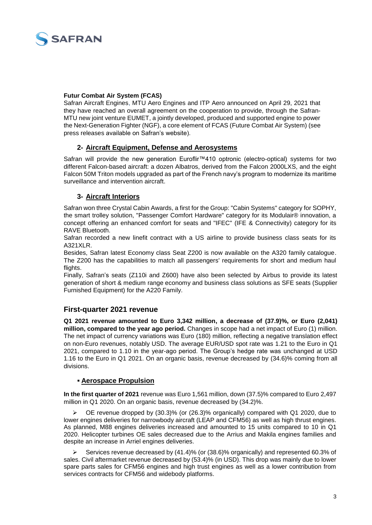

#### **Futur Combat Air System (FCAS)**

Safran Aircraft Engines, MTU Aero Engines and ITP Aero announced on April 29, 2021 that they have reached an overall agreement on the cooperation to provide, through the Safran-MTU new joint venture EUMET, a jointly developed, produced and supported engine to power the Next-Generation Fighter (NGF), a core element of FCAS (Future Combat Air System) (see press releases available on Safran's website).

#### **2- Aircraft Equipment, Defense and Aerosystems**

Safran will provide the new generation Euroflir™410 optronic (electro-optical) systems for two different Falcon-based aircraft: a dozen Albatros, derived from the Falcon 2000LXS, and the eight Falcon 50M Triton models upgraded as part of the French navy's program to modernize its maritime surveillance and intervention aircraft.

#### **3- Aircraft Interiors**

Safran won three Crystal Cabin Awards, a first for the Group: "Cabin Systems" category for SOPHY, the smart trolley solution, "Passenger Comfort Hardware" category for its Modulair® innovation, a concept offering an enhanced comfort for seats and "IFEC" (IFE & Connectivity) category for its RAVE Bluetooth.

Safran recorded a new linefit contract with a US airline to provide business class seats for its A321XLR.

Besides, Safran latest Economy class Seat Z200 is now available on the A320 family catalogue. The Z200 has the capabilities to match all passengers' requirements for short and medium haul flights.

Finally, Safran's seats (Z110i and Z600) have also been selected by Airbus to provide its latest generation of short & medium range economy and business class solutions as SFE seats (Supplier Furnished Equipment) for the A220 Family.

#### **First-quarter 2021 revenue**

**Q1 2021 revenue amounted to Euro 3,342 million, a decrease of (37.9)%, or Euro (2,041) million, compared to the year ago period.** Changes in scope had a net impact of Euro (1) million. The net impact of currency variations was Euro (180) million, reflecting a negative translation effect on non-Euro revenues, notably USD. The average EUR/USD spot rate was 1.21 to the Euro in Q1 2021, compared to 1.10 in the year-ago period. The Group's hedge rate was unchanged at USD 1.16 to the Euro in Q1 2021. On an organic basis, revenue decreased by (34.6)% coming from all divisions.

#### **Aerospace Propulsion**

**In the first quarter of 2021** revenue was Euro 1,561 million, down (37.5)% compared to Euro 2,497 million in Q1 2020. On an organic basis, revenue decreased by (34.2)%.

 OE revenue dropped by (30.3)% (or (26.3)% organically) compared with Q1 2020, due to lower engines deliveries for narrowbody aircraft (LEAP and CFM56) as well as high thrust engines. As planned, M88 engines deliveries increased and amounted to 15 units compared to 10 in Q1 2020. Helicopter turbines OE sales decreased due to the Arrius and Makila engines families and despite an increase in Arriel engines deliveries.

Services revenue decreased by  $(41.4)$ % (or  $(38.6)$ % organically) and represented 60.3% of sales. Civil aftermarket revenue decreased by (53.4)% (in USD). This drop was mainly due to lower spare parts sales for CFM56 engines and high trust engines as well as a lower contribution from services contracts for CFM56 and widebody platforms.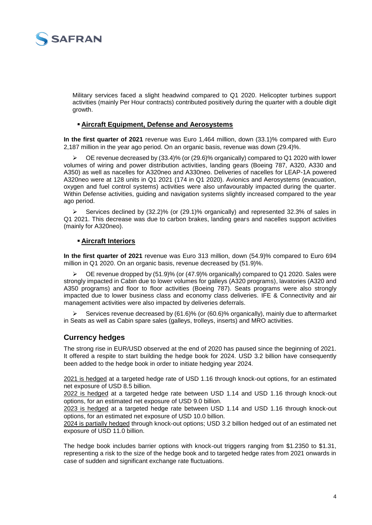

Military services faced a slight headwind compared to Q1 2020. Helicopter turbines support activities (mainly Per Hour contracts) contributed positively during the quarter with a double digit growth.

#### **Aircraft Equipment, Defense and Aerosystems**

**In the first quarter of 2021** revenue was Euro 1,464 million, down (33.1)% compared with Euro 2,187 million in the year ago period. On an organic basis, revenue was down (29.4)%.

 $\triangleright$  OE revenue decreased by (33.4)% (or (29.6)% organically) compared to Q1 2020 with lower volumes of wiring and power distribution activities, landing gears (Boeing 787, A320, A330 and A350) as well as nacelles for A320neo and A330neo. Deliveries of nacelles for LEAP-1A powered A320neo were at 128 units in Q1 2021 (174 in Q1 2020). Avionics and Aerosystems (evacuation, oxygen and fuel control systems) activities were also unfavourably impacted during the quarter. Within Defense activities, guiding and navigation systems slightly increased compared to the year ago period.

 Services declined by (32.2)% (or (29.1)% organically) and represented 32.3% of sales in Q1 2021. This decrease was due to carbon brakes, landing gears and nacelles support activities (mainly for A320neo).

#### **Aircraft Interiors**

**In the first quarter of 2021** revenue was Euro 313 million, down (54.9)% compared to Euro 694 million in Q1 2020. On an organic basis, revenue decreased by (51.9)%.

 $\triangleright$  OE revenue dropped by (51.9)% (or (47.9)% organically) compared to Q1 2020. Sales were strongly impacted in Cabin due to lower volumes for galleys (A320 programs), lavatories (A320 and A350 programs) and floor to floor activities (Boeing 787). Seats programs were also strongly impacted due to lower business class and economy class deliveries. IFE & Connectivity and air management activities were also impacted by deliveries deferrals.

 Services revenue decreased by (61.6)% (or (60.6)% organically), mainly due to aftermarket in Seats as well as Cabin spare sales (galleys, trolleys, inserts) and MRO activities.

#### **Currency hedges**

The strong rise in EUR/USD observed at the end of 2020 has paused since the beginning of 2021. It offered a respite to start building the hedge book for 2024. USD 3.2 billion have consequently been added to the hedge book in order to initiate hedging year 2024.

2021 is hedged at a targeted hedge rate of USD 1.16 through knock-out options, for an estimated net exposure of USD 8.5 billion.

2022 is hedged at a targeted hedge rate between USD 1.14 and USD 1.16 through knock-out options, for an estimated net exposure of USD 9.0 billion.

2023 is hedged at a targeted hedge rate between USD 1.14 and USD 1.16 through knock-out options, for an estimated net exposure of USD 10.0 billion.

2024 is partially hedged through knock-out options; USD 3.2 billion hedged out of an estimated net exposure of USD 11.0 billion.

The hedge book includes barrier options with knock-out triggers ranging from \$1.2350 to \$1.31, representing a risk to the size of the hedge book and to targeted hedge rates from 2021 onwards in case of sudden and significant exchange rate fluctuations.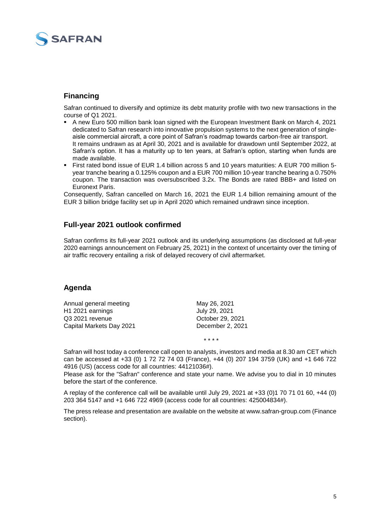

#### **Financing**

Safran continued to diversify and optimize its debt maturity profile with two new transactions in the course of Q1 2021.

- A new Euro 500 million bank loan signed with the European Investment Bank on March 4, 2021 dedicated to Safran research into innovative propulsion systems to the next generation of singleaisle commercial aircraft, a core point of Safran's roadmap towards carbon-free air transport. It remains undrawn as at April 30, 2021 and is available for drawdown until September 2022, at Safran's option. It has a maturity up to ten years, at Safran's option, starting when funds are made available.
- First rated bond issue of EUR 1.4 billion across 5 and 10 years maturities: A EUR 700 million 5 year tranche bearing a 0.125% coupon and a EUR 700 million 10-year tranche bearing a 0.750% coupon. The transaction was oversubscribed 3.2x. The Bonds are rated BBB+ and listed on Euronext Paris.

Consequently, Safran cancelled on March 16, 2021 the EUR 1.4 billion remaining amount of the EUR 3 billion bridge facility set up in April 2020 which remained undrawn since inception.

#### **Full-year 2021 outlook confirmed**

Safran confirms its full-year 2021 outlook and its underlying assumptions (as disclosed at full-year 2020 earnings announcement on February 25, 2021) in the context of uncertainty over the timing of air traffic recovery entailing a risk of delayed recovery of civil aftermarket.

#### **Agenda**

| Annual general meeting   | May 26, 2021     |  |  |  |
|--------------------------|------------------|--|--|--|
| H1 2021 earnings         | July 29, 2021    |  |  |  |
| Q3 2021 revenue          | October 29, 2021 |  |  |  |
| Capital Markets Day 2021 | December 2, 2021 |  |  |  |

Safran will host today a conference call open to analysts, investors and media at 8.30 am CET which can be accessed at +33 (0) 1 72 72 74 03 (France), +44 (0) 207 194 3759 (UK) and +1 646 722 4916 (US) (access code for all countries: 44121036#).

\* \* \* \*

Please ask for the "Safran" conference and state your name. We advise you to dial in 10 minutes before the start of the conference.

A replay of the conference call will be available until July 29, 2021 at +33 (0)1 70 71 01 60, +44 (0) 203 364 5147 and +1 646 722 4969 (access code for all countries: 425004834#).

The press release and presentation are available on the website at www.safran-group.com (Finance section).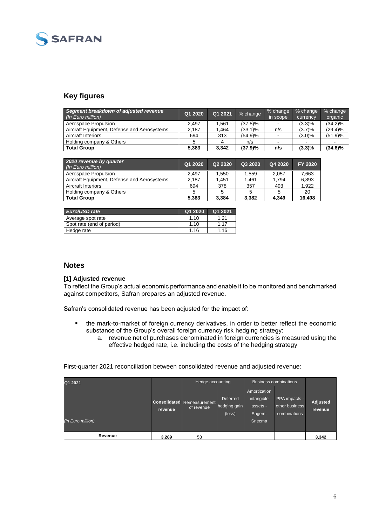

## **Key figures**

| Segment breakdown of adjusted revenue<br>(In Euro million) | Q1 2020 | Q1 2021 | % change   | % change<br>in scope | % change<br>currency | % change<br>organic |
|------------------------------------------------------------|---------|---------|------------|----------------------|----------------------|---------------------|
| Aerospace Propulsion                                       | 2.497   | .561    | $(37.5)\%$ |                      | (3.3)%               | $(34.2)\%$          |
| Aircraft Equipment. Defense and Aerosystems                | 2.187   | .464    | (33.1)%    | n/s                  | (3.7)%               | $(29.4)\%$          |
| <b>Aircraft Interiors</b>                                  | 694     | 313     | (54.9)%    |                      | $(3.0)\%$            | (51.9)%             |
| Holding company & Others                                   |         |         | n/s        |                      | $\sim$               |                     |
| <b>Total Group</b>                                         | 5.383   | 3.342   | (37.9)%    | n/s                  | $(3.3)\%$            | $(34.6)\%$          |

| 2020 revenue by quarter<br>(In Euro million) | Q1 2020 | Q <sub>2</sub> 2020 | Q3 2020 | Q4 2020 | <b>FY 2020</b> |
|----------------------------------------------|---------|---------------------|---------|---------|----------------|
| Aerospace Propulsion                         | 2.497   | 1.550               | 1.559   | 2.057   | 7.663          |
| Aircraft Equipment, Defense and Aerosystems  | 2.187   | 1.451               | 1.461   | 1.794   | 6,893          |
| Aircraft Interiors                           | 694     | 378                 | 357     | 493     | 1.922          |
| Holding company & Others                     |         |                     |         |         | 20             |
| <b>Total Group</b>                           | 5.383   | 3.384               | 3,382   | 4.349   | 16.498         |

| Euro/USD rate             | Q1 2020 | Q1 2021 |
|---------------------------|---------|---------|
| Average spot rate         | 1.10    | 1.21    |
| Spot rate (end of period) | 1.10    | 1.17    |
| Hedge rate                | 1.16    | 1.16    |

#### **Notes**

#### **[1] Adjusted revenue**

To reflect the Group's actual economic performance and enable it to be monitored and benchmarked against competitors, Safran prepares an adjusted revenue.

Safran's consolidated revenue has been adjusted for the impact of:

- the mark-to-market of foreign currency derivatives, in order to better reflect the economic substance of the Group's overall foreign currency risk hedging strategy:
	- a. revenue net of purchases denominated in foreign currencies is measured using the effective hedged rate, i.e. including the costs of the hedging strategy

First-quarter 2021 reconciliation between consolidated revenue and adjusted revenue:

| Q1 2021           |         | Hedge accounting                                |                                                    | <b>Business combinations</b>                               |                                                 |                            |
|-------------------|---------|-------------------------------------------------|----------------------------------------------------|------------------------------------------------------------|-------------------------------------------------|----------------------------|
| (In Euro million) | revenue | <b>Consolidated</b> Remeasurement<br>of revenue | <b>Deferred</b><br>hedging gain<br>$(\text{loss})$ | Amortization<br>intangible<br>assets -<br>Sagem-<br>Snecma | PPA impacts -<br>other business<br>combinations | <b>Adjusted</b><br>revenue |
| Revenue           | 3,289   | 53                                              |                                                    |                                                            |                                                 | 3,342                      |